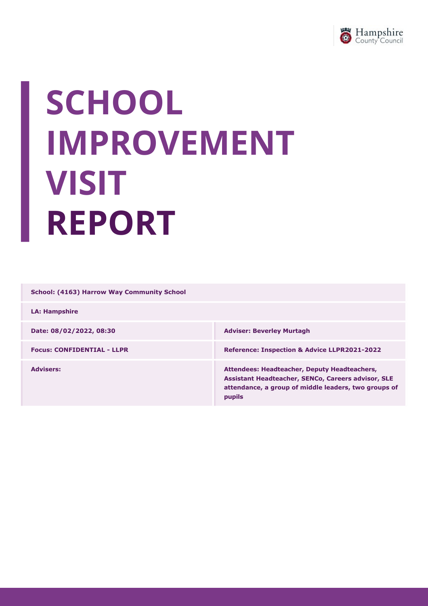

# SCHOOL IMPROVEMENT VISIT REPORT

School: (4163) Harrow Way Community School

LA: Hampshire

Date: 08/02/2022, 08:30 Focus: CONFIDENTIAL - LLPR Reference: Inspection & Advice LLPR2021-2022 Advisers: Attendees: Headteacher, Deputy Headteachers, Assistant Headteacher, SENCo, Careers advisor, SLE attendance, a group of middle leaders, two groups of

pupils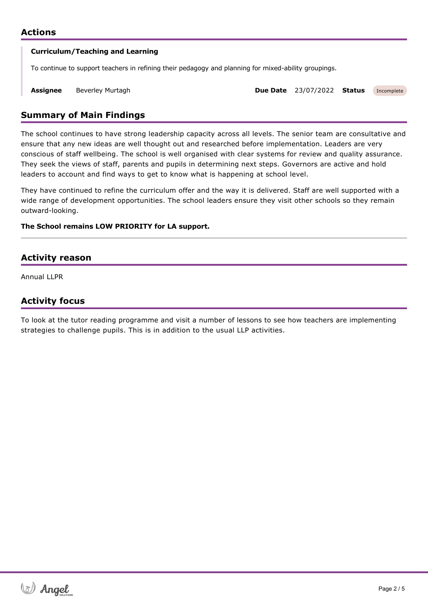

Assignee Beverley Murtagh Due Date 23/07/2022 Status Incomplete

# Summary of Main Findings

The school continues to have strong leadership capacity across all levels. The senior team are consultative and ensure that any new ideas are well thought out and researched before implementation. Leaders are very conscious of staff wellbeing. The school is well organised with clear systems for review and quality assurance. They seek the views of staff, parents and pupils in determining next steps. Governors are active and hold leaders to account and find ways to get to know what is happening at school level.

They have continued to refine the curriculum offer and the way it is delivered. Staff are well supported with a wide range of development opportunities. The school leaders ensure they visit other schools so they remain outward-looking.

## The School remains LOW PRIORITY for LA support.

written report should be showled by showled body with the governing body when published. The governing body when published.

## Activity reason

Annual LLPR

# Activity focus

To look at the tutor reading programme and visit a number of lessons to see how teachers are implementing strategies to challenge pupils. This is in addition to the usual LLP activities.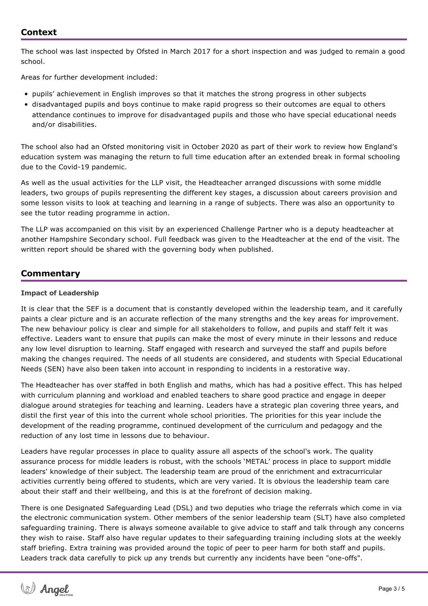The school was last inspected by Ofsted in March 2017 for a short inspection and was judged to remain a good school.

Areas for further development included:

- pupils' achievement in English improves so that it matches the strong progress in other subjects
- disadvantaged pupils and boys continue to make rapid progress so their outcomes are equal to others attendance continues to improve for disadvantaged pupils and those who have special educational needs and/or disabilities.

The school also had an Ofsted monitoring visit in October 2020 as part of their work to review how England's education system was managing the return to full time education after an extended break in formal schooling due to the Covid-19 pandemic.

As well as the usual activities for the LLP visit, the Headteacher arranged discussions with some middle leaders, two groups of pupils representing the different key stages, a discussion about careers provision and some lesson visits to look at teaching and learning in a range of subjects. There was also an opportunity to see the tutor reading programme in action.

The LLP was accompanied on this visit by an experienced Challenge Partner who is a deputy headteacher at another Hampshire Secondary school. Full feedback was given to the Headteacher at the end of the visit. The written report should be shared with the governing body when published.

## **Commentary**

#### Impact of Leadership

It is clear that the SEF is a document that is constantly developed within the leadership team, and it carefully paints a clear picture and is an accurate reflection of the many strengths and the key areas for improvement. The new behaviour policy is clear and simple for all stakeholders to follow, and pupils and staff felt it was effective. Leaders want to ensure that pupils can make the most of every minute in their lessons and reduce any low level disruption to learning. Staff engaged with research and surveyed the staff and pupils before making the changes required. The needs of all students are considered, and students with Special Educational Needs (SEN) have also been taken into account in responding to incidents in a restorative way.

The Headteacher has over staffed in both English and maths, which has had a positive effect. This has helped with curriculum planning and workload and enabled teachers to share good practice and engage in deeper dialogue around strategies for teaching and learning. Leaders have a strategic plan covering three years, and distil the first year of this into the current whole school priorities. The priorities for this year include the development of the reading programme, continued development of the curriculum and pedagogy and the reduction of any lost time in lessons due to behaviour.

Leaders have regular processes in place to quality assure all aspects of the school's work. The quality assurance process for middle leaders is robust, with the schools 'METAL' process in place to support middle leaders' knowledge of their subject. The leadership team are proud of the enrichment and extracurricular activities currently being offered to students, which are very varied. It is obvious the leadership team care about their staff and their wellbeing, and this is at the forefront of decision making.

There is one Designated Safeguarding Lead (DSL) and two deputies who triage the referrals which come in via the electronic communication system. Other members of the senior leadership team (SLT) have also completed safeguarding training. There is always someone available to give advice to staff and talk through any concerns they wish to raise. Staff also have regular updates to their safeguarding training including slots at the weekly staff briefing. Extra training was provided around the topic of peer to peer harm for both staff and pupils. Leaders track data carefully to pick up any trends but currently any incidents have been "one-offs".

Additional resources have also been added to the Personal, Social and Health Education (PSHE) programme to the  $P$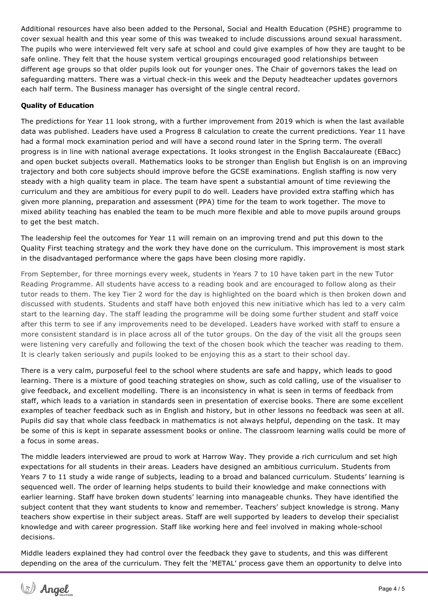Additional resources have also been added to the Personal, Social and Health Education (PSHE) programme to cover sexual health and this year some of this was tweaked to include discussions around sexual harassment. The pupils who were interviewed felt very safe at school and could give examples of how they are taught to be safe online. They felt that the house system vertical groupings encouraged good relationships between different age groups so that older pupils look out for younger ones. The Chair of governors takes the lead on safeguarding matters. There was a virtual check-in this week and the Deputy headteacher updates governors each half term. The Business manager has oversight of the single central record.

#### Quality of Education

The predictions for Year 11 look strong, with a further improvement from 2019 which is when the last available data was published. Leaders have used a Progress 8 calculation to create the current predictions. Year 11 have had a formal mock examination period and will have a second round later in the Spring term. The overall progress is in line with national average expectations. It looks strongest in the English Baccalaureate (EBacc) and open bucket subjects overall. Mathematics looks to be stronger than English but English is on an improving trajectory and both core subjects should improve before the GCSE examinations. English staffing is now very steady with a high quality team in place. The team have spent a substantial amount of time reviewing the curriculum and they are ambitious for every pupil to do well. Leaders have provided extra staffing which has given more planning, preparation and assessment (PPA) time for the team to work together. The move to mixed ability teaching has enabled the team to be much more flexible and able to move pupils around groups to get the best match.

The leadership feel the outcomes for Year 11 will remain on an improving trend and put this down to the Quality First teaching strategy and the work they have done on the curriculum. This improvement is most stark in the disadvantaged performance where the gaps have been closing more rapidly.

From September, for three mornings every week, students in Years 7 to 10 have taken part in the new Tutor Reading Programme. All students have access to a reading book and are encouraged to follow along as their tutor reads to them. The key Tier 2 word for the day is highlighted on the board which is then broken down and discussed with students. Students and staff have both enjoyed this new initiative which has led to a very calm start to the learning day. The staff leading the programme will be doing some further student and staff voice after this term to see if any improvements need to be developed. Leaders have worked with staff to ensure a more consistent standard is in place across all of the tutor groups. On the day of the visit all the groups seen were listening very carefully and following the text of the chosen book which the teacher was reading to them. It is clearly taken seriously and pupils looked to be enjoying this as a start to their school day.

There is a very calm, purposeful feel to the school where students are safe and happy, which leads to good learning. There is a mixture of good teaching strategies on show, such as cold calling, use of the visualiser to give feedback, and excellent modelling. There is an inconsistency in what is seen in terms of feedback from staff, which leads to a variation in standards seen in presentation of exercise books. There are some excellent examples of teacher feedback such as in English and history, but in other lessons no feedback was seen at all. Pupils did say that whole class feedback in mathematics is not always helpful, depending on the task. It may be some of this is kept in separate assessment books or online. The classroom learning walls could be more of a focus in some areas.

The middle leaders interviewed are proud to work at Harrow Way. They provide a rich curriculum and set high expectations for all students in their areas. Leaders have designed an ambitious curriculum. Students from Years 7 to 11 study a wide range of subjects, leading to a broad and balanced curriculum. Students' learning is sequenced well. The order of learning helps students to build their knowledge and make connections with earlier learning. Staff have broken down students' learning into manageable chunks. They have identified the subject content that they want students to know and remember. Teachers' subject knowledge is strong. Many teachers show expertise in their subject areas. Staff are well supported by leaders to develop their specialist knowledge and with career progression. Staff like working here and feel involved in making whole-school decisions.

Middle leaders explained they had control over the feedback they gave to students, and this was different depending on the area of the curriculum. They felt the 'METAL' process gave them an opportunity to delve into

their subject area and give them thinking time on what needs to be developed.